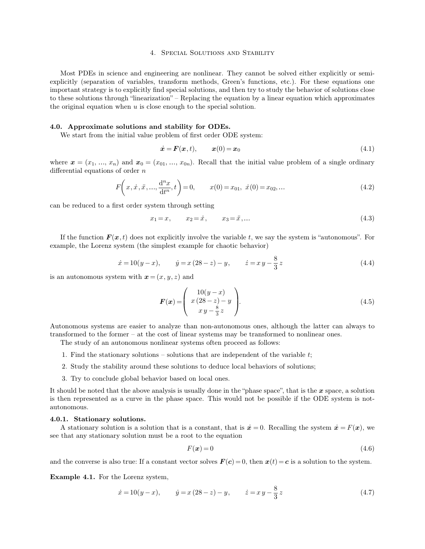### 4. Special Solutions and Stability

Most PDEs in science and engineering are nonlinear. They cannot be solved either explicitly or semiexplicitly (separation of variables, transform methods, Green's functions, etc.). For these equations one important strategy is to explicitly find special solutions, and then try to study the behavior of solutions close to these solutions through "linearization" – Replacing the equation by a linear equation which approximates the original equation when  $u$  is close enough to the special solution.

## **4.0. Approximate solutions and stability for ODEs.**

We start from the initial value problem of first order ODE system:

$$
\dot{\boldsymbol{x}} = \boldsymbol{F}(\boldsymbol{x}, t), \qquad \boldsymbol{x}(0) = \boldsymbol{x}_0 \tag{4.1}
$$

where  $\mathbf{x} = (x_1, ..., x_n)$  and  $\mathbf{x}_0 = (x_{01}, ..., x_{0n})$ . Recall that the initial value problem of a single ordinary differential equations of order  $n$ 

$$
F\left(x, \dot{x}, \ddot{x}, \dots, \frac{d^n x}{dt^n}, t\right) = 0, \qquad x(0) = x_{01}, \ \dot{x}(0) = x_{02}, \dots \tag{4.2}
$$

can be reduced to a first order system through setting

$$
x_1 = x, \qquad x_2 = \dot{x}, \qquad x_3 = \ddot{x}, \dots \tag{4.3}
$$

If the function  $\mathbf{F}(\mathbf{x}, t)$  does not explicitly involve the variable t, we say the system is "autonomous". For example, the Lorenz system (the simplest example for chaotic behavior)

$$
\dot{x} = 10(y - x),
$$
  $\dot{y} = x(28 - z) - y,$   $\dot{z} = x y - \frac{8}{3} z$  (4.4)

is an autonomous system with  $x = (x, y, z)$  and

$$
\boldsymbol{F}(\boldsymbol{x}) = \begin{pmatrix} 10(y-x) \\ x(28-z) - y \\ xy - \frac{8}{3}z \end{pmatrix} . \tag{4.5}
$$

Autonomous systems are easier to analyze than non-autonomous ones, although the latter can always to transformed to the former – at the cost of linear systems may be transformed to nonlinear ones.

The study of an autonomous nonlinear systems often proceed as follows:

- 1. Find the stationary solutions solutions that are independent of the variable  $t$ ;
- 2. Study the stability around these solutions to deduce local behaviors of solutions;
- 3. Try to conclude global behavior based on local ones.

It should be noted that the above analysis is usually done in the "phase space", that is the  $x$  space, a solution is then represented as a curve in the phase space. This would not be possible if the ODE system is notautonomous.

#### **4.0.1. Stationary solutions.**

A stationary solution is a solution that is a constant, that is  $\dot{x} = 0$ . Recalling the system  $\dot{x} = F(x)$ , we see that any stationary solution must be a root to the equation

$$
F(x) = 0 \tag{4.6}
$$

and the converse is also true: If a constant vector solves  $F(c) = 0$ , then  $x(t) = c$  is a solution to the system.

**Example 4.1.** For the Lorenz system,

$$
\dot{x} = 10(y - x),
$$
  $\dot{y} = x(28 - z) - y,$   $\dot{z} = x y - \frac{8}{3} z$  (4.7)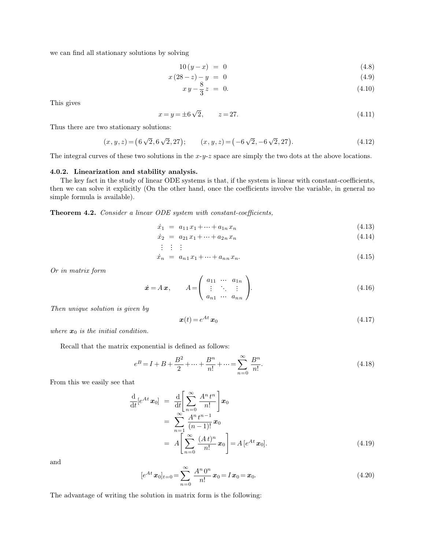we can find all stationary solutions by solving

$$
10(y - x) = 0 \tag{4.8}
$$

$$
x(28-z) - y = 0 \tag{4.9}
$$

$$
x\,y - \frac{8}{3}z = 0.\tag{4.10}
$$

This gives

$$
x = y = \pm 6\sqrt{2}, \qquad z = 27. \tag{4.11}
$$

Thus there are two stationary solutions:

$$
(x, y, z) = (6\sqrt{2}, 6\sqrt{2}, 27); \qquad (x, y, z) = (-6\sqrt{2}, -6\sqrt{2}, 27).
$$
 (4.12)

The integral curves of these two solutions in the  $x-y-z$  space are simply the two dots at the above locations.

### **4.0.2. Linearization and stability analysis.**

The key fact in the study of linear ODE systems is that, if the system is linear with constant-coefficients, then we can solve it explicitly (On the other hand, once the coefficients involve the variable, in general no simple formula is available).

**Theorem 4.2.** *Consider a linear ODE system with constant-coefficients,*

$$
\dot{x}_1 = a_{11}x_1 + \dots + a_{1n}x_n \tag{4.13}
$$

$$
\dot{x}_2 = a_{21}x_1 + \dots + a_{2n}x_n \tag{4.14}
$$

$$
f\colon F\to \mathbb{R}^n\to \mathbb{R}^n\to \mathbb{R}^n\to \mathbb{R}^n\to \mathbb{R}^n\to \mathbb{R}^n\to \mathbb{R}^n\to \mathbb{R}^n\to \mathbb{R}^n\to \mathbb{R}^n\to \mathbb{R}^n\to \mathbb{R}^n\to \mathbb{R}^n\to \mathbb{R}^n\to \mathbb{R}^n\to \mathbb{R}^n\to \mathbb{R}^n\to \mathbb{R}^n\to \mathbb{R}^n\to \mathbb{R}^n\to \mathbb{R}^n\to \mathbb{R}^n\to \mathbb{R}^n\to \mathbb{R}^n\to \mathbb{R}^n\to \mathbb{R}^n\to \mathbb{R}^n\to \mathbb{R}^n\to \mathbb{R}^n\to \mathbb{R}^n\to \mathbb{R}^n\to \mathbb{R}^n\to \mathbb{R}^n\to \mathbb{R}^n\to \mathbb{R}^n\to \mathbb{R}^n\to \mathbb{R}^n\to \mathbb{R}^n\to \mathbb{R}^n\to \mathbb{R}^n\to \mathbb{R}^n\to \mathbb{R}^n\to \mathbb{R}^n\to \mathbb{R}^n\to \mathbb{R}^n\to \mathbb{R}^n\to \mathbb{R}^n\to \mathbb{R}^n\to \mathbb{R}^n\to \mathbb{R}^n\to \mathbb{R}^n\to \mathbb{R}^n\to \mathbb{R}^n\to \mathbb{R}^n\to \mathbb{R}^n\to \mathbb{R}^n\to \mathbb{R}^n\to \mathbb{R}^n\to \mathbb{R}^n\to \mathbb{R}^n\to \mathbb{R}^n\to \mathbb{R}^n\to \mathbb{R}^n\to \mathbb{R}^n\to \mathbb{R}^n\to \mathbb{R}^n\to \mathbb{R}^n\to \mathbb{R}^n\to \mathbb{R}^n\to \mathbb{R}^n\to \mathbb{R}^n\to \mathbb{R}^n\to \mathbb{R}^n\to \mathbb{R}^n\to \mathbb{R}^n\to \mathbb
$$

$$
\dot{x}_n = a_{n1}x_1 + \dots + a_{nn}x_n. \tag{4.15}
$$

*Or in matrix form*

$$
\dot{\boldsymbol{x}} = A \boldsymbol{x}, \qquad A = \begin{pmatrix} a_{11} & \cdots & a_{1n} \\ \vdots & \ddots & \vdots \\ a_{n1} & \cdots & a_{nn} \end{pmatrix} . \tag{4.16}
$$

*Then unique solution is given by*

$$
\boldsymbol{x}(t) = e^{At}\,\boldsymbol{x}_0\tag{4.17}
$$

*where*  $x_0$  *is the initial condition.* 

Recall that the matrix exponential is defined as follows:

$$
e^{B} = I + B + \frac{B^{2}}{2} + \dots + \frac{B^{n}}{n!} + \dots = \sum_{n=0}^{\infty} \frac{B^{n}}{n!}.
$$
\n(4.18)

From this we easily see that

$$
\frac{\mathrm{d}}{\mathrm{d}t}[e^{At}\boldsymbol{x}_0] = \frac{\mathrm{d}}{\mathrm{d}t} \Bigg[ \sum_{n=0}^{\infty} \frac{A^n t^n}{n!} \Bigg] \boldsymbol{x}_0
$$
\n
$$
= \sum_{n=1}^{\infty} \frac{A^n t^{n-1}}{(n-1)!} \boldsymbol{x}_0
$$
\n
$$
= A \Bigg[ \sum_{n=0}^{\infty} \frac{(A t)^n}{n!} \boldsymbol{x}_0 \Bigg] = A \big[ e^{At} \boldsymbol{x}_0 \big].
$$
\n(4.19)

and

$$
[e^{At}\mathbf{x}_0]_{t=0} = \sum_{n=0}^{\infty} \frac{A^n 0^n}{n!} \mathbf{x}_0 = I \mathbf{x}_0 = \mathbf{x}_0.
$$
 (4.20)

The advantage of writing the solution in matrix form is the following: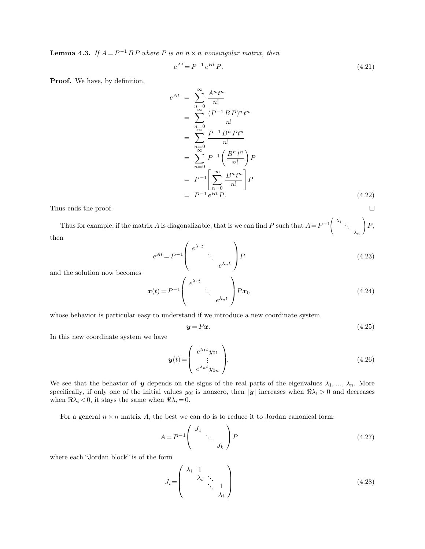**Lemma 4.3.** *If*  $A = P^{-1}BP$  *where P is an*  $n \times n$  *nonsingular matrix, then* 

$$
e^{At} = P^{-1}e^{Bt}P.
$$
\n(4.21)

**Proof.** We have, by definition,

$$
e^{At} = \sum_{n=0}^{\infty} \frac{A^n t^n}{n!}
$$
  
\n
$$
= \sum_{n=0}^{\infty} \frac{(P^{-1} B P)^n t^n}{n!}
$$
  
\n
$$
= \sum_{n=0}^{\infty} \frac{P^{-1} B^n P t^n}{n!}
$$
  
\n
$$
= \sum_{n=0}^{\infty} P^{-1} \left( \frac{B^n t^n}{n!} \right) P
$$
  
\n
$$
= P^{-1} \left[ \sum_{n=0}^{\infty} \frac{B^n t^n}{n!} \right] P
$$
  
\n
$$
= P^{-1} e^{Bt} P.
$$
 (4.22)

Thus ends the proof.  $\Box$ 

Thus for example, if the matrix A is diagonalizable, that is we can find P such that  $A = P^{-1}$  $\mathcal{L}$  $\lambda_1$ <br> $\lambda_n$  $\Big) P,$ then  $\overline{ }$ 

$$
e^{At} = P^{-1} \left( \begin{array}{c} e^{\lambda_1 t} \\ \vdots \\ e^{\lambda_n t} \end{array} \right) P \tag{4.23}
$$

and the solution now becomes

$$
\boldsymbol{x}(t) = P^{-1} \left( \begin{array}{c} e^{\lambda_1 t} \\ \cdot \\ e^{\lambda_n t} \end{array} \right) P \boldsymbol{x}_0 \tag{4.24}
$$

whose behavior is particular easy to understand if we introduce a new coordinate system

$$
y = Px. \tag{4.25}
$$

In this new coordinate system we have

$$
\mathbf{y}(t) = \begin{pmatrix} e^{\lambda_1 t} y_{01} \\ \vdots \\ e^{\lambda_n t} y_{0n} \end{pmatrix} . \tag{4.26}
$$

We see that the behavior of y depends on the signs of the real parts of the eigenvalues  $\lambda_1, \ldots, \lambda_n$ . More specifically, if only one of the initial values  $y_{0i}$  is nonzero, then  $|y|$  increases when  $\Re \lambda_i > 0$  and decreases when  $\Re \lambda_i < 0$ , it stays the same when  $\Re \lambda_i = 0$ .

For a general  $n \times n$  matrix A, the best we can do is to reduce it to Jordan canonical form:

$$
A = P^{-1} \begin{pmatrix} J_1 & & \\ & \ddots & \\ & & J_k \end{pmatrix} P \tag{4.27}
$$

where each "Jordan block" is of the form

$$
J_i = \begin{pmatrix} \lambda_i & 1 & & \\ & \lambda_i & \ddots & \\ & & \ddots & 1 \\ & & & \lambda_i \end{pmatrix} \tag{4.28}
$$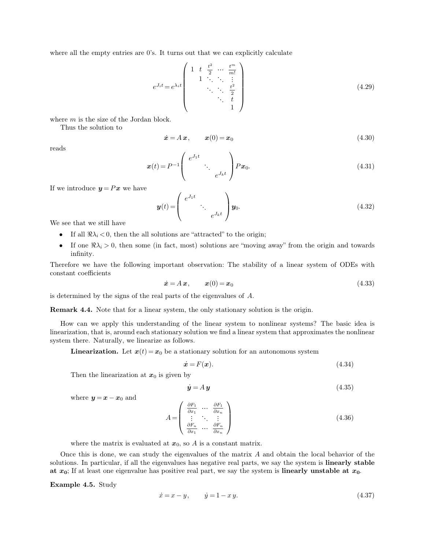where all the empty entries are  $0$ 's. It turns out that we can explicitly calculate

$$
e^{J_i t} = e^{\lambda_i t} \begin{pmatrix} 1 & t & \frac{t^2}{2} & \cdots & \frac{t^m}{m!} \\ 1 & \ddots & \ddots & \vdots \\ & & \ddots & \ddots & \frac{t^2}{2} \\ & & & \ddots & t \\ & & & & 1 \end{pmatrix}
$$
 (4.29)

where  $m$  is the size of the Jordan block.

Thus the solution to

$$
\dot{\boldsymbol{x}} = A \, \boldsymbol{x}, \qquad \boldsymbol{x}(0) = \boldsymbol{x}_0 \tag{4.30}
$$

reads

$$
\boldsymbol{x}(t) = P^{-1} \left( \begin{array}{c} e^{J_1 t} \\ \vdots \\ e^{J_k t} \end{array} \right) P \boldsymbol{x}_0. \tag{4.31}
$$

If we introduce  $y = Px$  we have

$$
\boldsymbol{y}(t) = \begin{pmatrix} e^{J_1 t} & & \\ & \ddots & \\ & & e^{J_k t} \end{pmatrix} \boldsymbol{y}_0. \tag{4.32}
$$

We see that we still have

- If all  $\Re \lambda_i < 0$ , then the all solutions are "attracted" to the origin;
- If one  $\Re \lambda_i > 0$ , then some (in fact, most) solutions are "moving away" from the origin and towards infinity.

Therefore we have the following important observation: The stability of a linear system of ODEs with constant coefficients

$$
\dot{\boldsymbol{x}} = A \, \boldsymbol{x}, \qquad \boldsymbol{x}(0) = \boldsymbol{x}_0 \tag{4.33}
$$

is determined by the signs of the real parts of the eigenvalues of A.

**Remark 4.4.** Note that for a linear system, the only stationary solution is the origin.

How can we apply this understanding of the linear system to nonlinear systems? The basic idea is linearization, that is, around each stationary solution we find a linear system that approximates the nonlinear system there. Naturally, we linearize as follows.

**Linearization.** Let  $x(t) = x_0$  be a stationary solution for an autonomous system

$$
\dot{\mathbf{x}} = F(\mathbf{x}).\tag{4.34}
$$

Then the linearization at  $x_0$  is given by

$$
\dot{y} = A y \tag{4.35}
$$

where  $y = x - x_0$  and

$$
A = \begin{pmatrix} \frac{\partial F_1}{\partial x_1} & \cdots & \frac{\partial F_1}{\partial x_n} \\ \vdots & \ddots & \vdots \\ \frac{\partial F_n}{\partial x_1} & \cdots & \frac{\partial F_n}{\partial x_n} \end{pmatrix}
$$
 (4.36)

where the matrix is evaluated at  $x_0$ , so A is a constant matrix.

Once this is done, we can study the eigenvalues of the matrix A and obtain the local behavior of the solutions. In particular, if all the eigenvalues has negative real parts, we say the system is **linearly stable at**  $x_0$ ; If at least one eigenvalue has positive real part, we say the system is **linearly unstable at**  $x_0$ .

**Example 4.5.** Study

$$
\dot{x} = x - y, \qquad \dot{y} = 1 - x y. \tag{4.37}
$$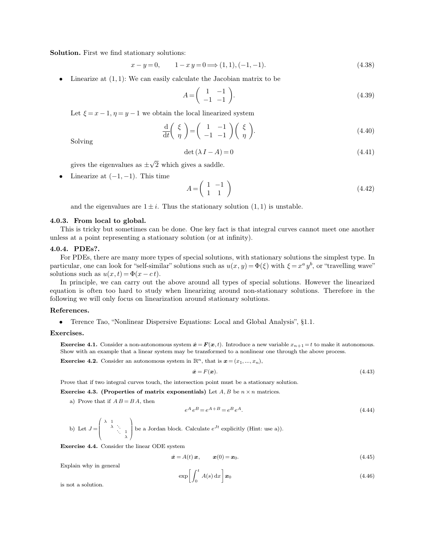**Solution.** First we find stationary solutions:

$$
x - y = 0, \qquad 1 - x \, y = 0 \Longrightarrow (1, 1), (-1, -1). \tag{4.38}
$$

Linearize at  $(1, 1)$ : We can easily calculate the Jacobian matrix to be

$$
A = \begin{pmatrix} 1 & -1 \\ -1 & -1 \end{pmatrix}.
$$
 (4.39)

Let  $\xi = x - 1, \eta = y - 1$  we obtain the local linearized system

$$
\frac{\mathrm{d}}{\mathrm{d}t} \left( \begin{array}{c} \xi \\ \eta \end{array} \right) = \left( \begin{array}{cc} 1 & -1 \\ -1 & -1 \end{array} \right) \left( \begin{array}{c} \xi \\ \eta \end{array} \right). \tag{4.40}
$$

Solving

$$
\det(\lambda I - A) = 0\tag{4.41}
$$

gives the eigenvalues as  $\pm \sqrt{2}$  which gives a saddle.

• Linearize at  $(-1, -1)$ . This time

$$
A = \begin{pmatrix} 1 & -1 \\ 1 & 1 \end{pmatrix} \tag{4.42}
$$

and the eigenvalues are  $1 \pm i$ . Thus the stationary solution  $(1, 1)$  is unstable.

### **4.0.3. From local to global.**

This is tricky but sometimes can be done. One key fact is that integral curves cannot meet one another unless at a point representing a stationary solution (or at infinity).

#### **4.0.4. PDEs?.**

For PDEs, there are many more types of special solutions, with stationary solutions the simplest type. In particular, one can look for "self-similar" solutions such as  $u(x, y) = \Phi(\xi)$  with  $\xi = x^a y^b$ , or "travelling wave" solutions such as  $u(x, t) = \Phi(x - ct)$ .

In principle, we can carry out the above around all types of special solutions. However the linearized equation is often too hard to study when linearizing around non-stationary solutions. Therefore in the following we will only focus on linearization around stationary solutions.

#### **References.**

• Terence Tao, "Nonlinear Dispersive Equations: Local and Global Analysis", §1.1.

#### **Exercises.**

**Exercise 4.1.** Consider a non-autonomous system  $\dot{\mathbf{z}} = \mathbf{F}(\mathbf{x}, t)$ . Introduce a new variable  $x_{n+1} = t$  to make it autonomous. Show with an example that a linear system may be transformed to a nonlinear one through the above process.

**Exercise 4.2.** Consider an autonomous system in  $\mathbb{R}^n$ , that is  $\mathbf{x} = (x_1, ..., x_n)$ ,

$$
\dot{\boldsymbol{x}} = F(\boldsymbol{x}).\tag{4.43}
$$

Prove that if two integral curves touch, the intersection point must be a stationary solution.

**Exercise 4.3. (Properties of matrix exponentials)** Let  $A, B$  be  $n \times n$  matrices.

a) Prove that if  $A B = BA$ , then

$$
e^A e^B = e^{A+B} = e^B e^A.
$$
\n(4.44)

b) Let 
$$
J = \begin{pmatrix} \lambda & 1 & \cdots & \lambda & 1 \\ & \lambda & \ddots & 1 \\ & & \ddots & \lambda & 1 \end{pmatrix}
$$
 be a Jordan block. Calculate  $e^{Jt}$  explicitly (Hint: use a)).

**Exercise 4.4.** Consider the linear ODE system

$$
\dot{\boldsymbol{x}} = A(t) \, \boldsymbol{x}, \qquad \boldsymbol{x}(0) = \boldsymbol{x}_0. \tag{4.45}
$$

Explain why in general

$$
\exp\left[\int_0^t A(s) \, \mathrm{d}x\right] \mathbf{x}_0 \tag{4.46}
$$

is not a solution.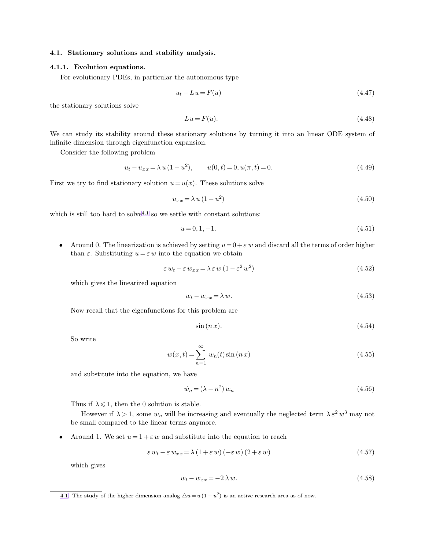# **4.1. Stationary solutions and stability analysis.**

# **4.1.1. Evolution equations.**

For evolutionary PDEs, in particular the autonomous type

<span id="page-5-0"></span>
$$
u_t - Lu = F(u) \tag{4.47}
$$

the stationary solutions solve

$$
-Lu = F(u). \tag{4.48}
$$

We can study its stability around these stationary solutions by turning it into an linear ODE system of infinite dimension through eigenfunction expansion.

Consider the following problem

$$
u_t - u_{xx} = \lambda u (1 - u^2), \qquad u(0, t) = 0, u(\pi, t) = 0.
$$
\n(4.49)

First we try to find stationary solution  $u = u(x)$ . These solutions solve

$$
u_{xx} = \lambda u \left(1 - u^2\right) \tag{4.50}
$$

which is still too hard to solve<sup>4.1</sup> so we settle with constant solutions:

$$
u = 0, 1, -1. \tag{4.51}
$$

• Around 0. The linearization is achieved by setting  $u=0+\varepsilon w$  and discard all the terms of order higher than  $\varepsilon$ . Substituting  $u = \varepsilon w$  into the equation we obtain

$$
\varepsilon w_t - \varepsilon w_{xx} = \lambda \varepsilon w (1 - \varepsilon^2 w^2)
$$
\n(4.52)

which gives the linearized equation

$$
w_t - w_{xx} = \lambda w. \tag{4.53}
$$

Now recall that the eigenfunctions for this problem are

$$
\sin\left(n\,x\right). \tag{4.54}
$$

So write

$$
w(x,t) = \sum_{n=1}^{\infty} w_n(t) \sin(n x)
$$
\n(4.55)

and substitute into the equation, we have

$$
\dot{w}_n = (\lambda - n^2) w_n \tag{4.56}
$$

Thus if  $\lambda \leq 1$ , then the 0 solution is stable.

However if  $\lambda > 1$ , some  $w_n$  will be increasing and eventually the neglected term  $\lambda \varepsilon^2 w^3$  may not be small compared to the linear terms anymore.

Around 1. We set  $u = 1 + \varepsilon w$  and substitute into the equation to reach

$$
\varepsilon w_t - \varepsilon w_{xx} = \lambda (1 + \varepsilon w) (-\varepsilon w) (2 + \varepsilon w) \tag{4.57}
$$

which gives

$$
w_t - w_{xx} = -2\lambda w.\t\t(4.58)
$$

[<sup>4.1.</sup>](#page-5-0) The study of the higher dimension analog  $\Delta u = u(1 - u^2)$  is an active research area as of now.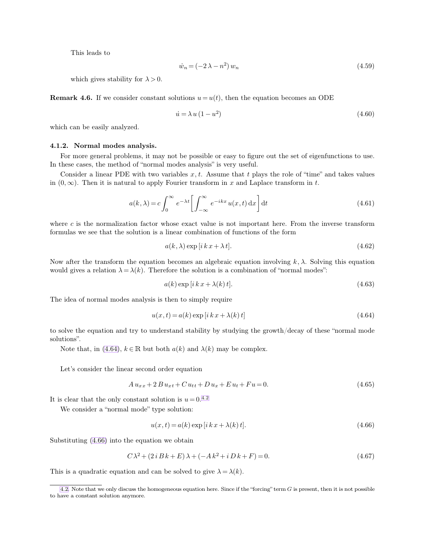This leads to

<span id="page-6-1"></span><span id="page-6-0"></span>
$$
\dot{w}_n = (-2\lambda - n^2) w_n \tag{4.59}
$$

which gives stability for  $\lambda > 0$ .

**Remark 4.6.** If we consider constant solutions  $u = u(t)$ , then the equation becomes an ODE

$$
\dot{u} = \lambda u (1 - u^2) \tag{4.60}
$$

which can be easily analyzed.

## **4.1.2. Normal modes analysis.**

For more general problems, it may not be possible or easy to figure out the set of eigenfunctions to use. In these cases, the method of "normal modes analysis" is very useful.

Consider a linear PDE with two variables  $x, t$ . Assume that t plays the role of "time" and takes values in  $(0, \infty)$ . Then it is natural to apply Fourier transform in x and Laplace transform in t.

$$
a(k,\lambda) = c \int_0^\infty e^{-\lambda t} \left[ \int_{-\infty}^\infty e^{-ikx} u(x,t) \, \mathrm{d}x \right] \mathrm{d}t \tag{4.61}
$$

where  $c$  is the normalization factor whose exact value is not important here. From the inverse transform formulas we see that the solution is a linear combination of functions of the form

$$
a(k, \lambda) \exp[i k x + \lambda t]. \tag{4.62}
$$

Now after the transform the equation becomes an algebraic equation involving  $k, \lambda$ . Solving this equation would gives a relation  $\lambda = \lambda(k)$ . Therefore the solution is a combination of "normal modes":

$$
a(k) \exp[i k x + \lambda(k) t]. \tag{4.63}
$$

The idea of normal modes analysis is then to simply require

$$
u(x,t) = a(k) \exp[i k x + \lambda(k) t] \tag{4.64}
$$

to solve the equation and try to understand stability by studying the growth/decay of these "normal mode solutions".

Note that, in [\(4.64\)](#page-6-0),  $k \in \mathbb{R}$  but both  $a(k)$  and  $\lambda(k)$  may be complex.

Let's consider the linear second order equation

$$
A u_{xx} + 2 B u_{xt} + C u_{tt} + D u_x + E u_t + Fu = 0.
$$
\n(4.65)

It is clear that the only constant solution is  $u = 0.42$ .

We consider a "normal mode" type solution:

$$
u(x,t) = a(k) \exp[i k x + \lambda(k) t].
$$
\n(4.66)

Substituting [\(4.66\)](#page-6-0) into the equation we obtain

$$
C\lambda^2 + (2iBk + E)\lambda + (-Ak^2 + iDk + F) = 0.
$$
\n(4.67)

This is a quadratic equation and can be solved to give  $\lambda = \lambda(k)$ .

[<sup>4.2.</sup>](#page-6-1) Note that we only discuss the homogeneous equation here. Since if the "forcing" term G is present, then it is not possible to have a constant solution anymore.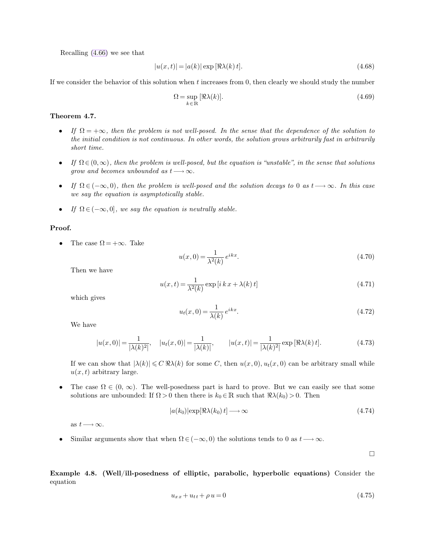Recalling [\(4.66\)](#page-6-0) we see that

$$
|u(x,t)| = |a(k)| \exp[\Re \lambda(k)t].
$$
\n(4.68)

If we consider the behavior of this solution when  $t$  increases from  $0$ , then clearly we should study the number

$$
\Omega = \sup_{k \in \mathbb{R}} \left[ \Re \lambda(k) \right]. \tag{4.69}
$$

# **Theorem 4.7.**

- If  $\Omega = +\infty$ , then the problem is not well-posed. In the sense that the dependence of the solution to *the initial condition is not continuous. In other words, the solution grows arbitrarily fast in arbitrarily short time.*
- *If*  $\Omega \in (0,\infty)$ , then the problem is well-posed, but the equation is "unstable", in the sense that solutions *grow and becomes unbounded as*  $t \rightarrow \infty$ *.*
- *If*  $\Omega \in (-\infty, 0)$ *, then the problem is well-posed and the solution decays to* 0 *as*  $t \rightarrow \infty$ *. In this case we say the equation is asymptotically stable.*
- *If*  $\Omega \in (-\infty, 0]$ *, we say the equation is neutrally stable.*

# **Proof.**

• The case  $\Omega = +\infty$ . Take

$$
u(x,0) = \frac{1}{\lambda^2(k)} e^{ikx}.
$$
\n(4.70)

Then we have

$$
u(x,t) = \frac{1}{\lambda^2(k)} \exp\left[i k x + \lambda(k) t\right]
$$
\n(4.71)

which gives

$$
u_t(x,0) = \frac{1}{\lambda(k)} e^{ikx}.\tag{4.72}
$$

We have

$$
|u(x,0)| = \frac{1}{|\lambda(k)^2|}, \quad |u_t(x,0)| = \frac{1}{|\lambda(k)|}, \qquad |u(x,t)| = \frac{1}{|\lambda(k)^2|} \exp[\Re \lambda(k)t]. \tag{4.73}
$$

If we can show that  $|\lambda(k)| \leq C \Re \lambda(k)$  for some C, then  $u(x, 0), u_t(x, 0)$  can be arbitrary small while  $u(x, t)$  arbitrary large.

The case  $\Omega \in (0, \infty)$ . The well-posedness part is hard to prove. But we can easily see that some solutions are unbounded: If  $\Omega > 0$  then there is  $k_0 \in \mathbb{R}$  such that  $\Re(\lambda(k_0) > 0$ . Then

$$
|a(k_0)| \exp[\Re \lambda(k_0) t] \longrightarrow \infty \tag{4.74}
$$

as  $t \longrightarrow \infty$ .

• Similar arguments show that when  $\Omega \in (-\infty, 0)$  the solutions tends to 0 as  $t \longrightarrow \infty$ .

 $\Box$ 

**Example 4.8. (Well/ill-posedness of elliptic, parabolic, hyperbolic equations)** Consider the equation

$$
u_{xx} + u_{tt} + \rho u = 0 \tag{4.75}
$$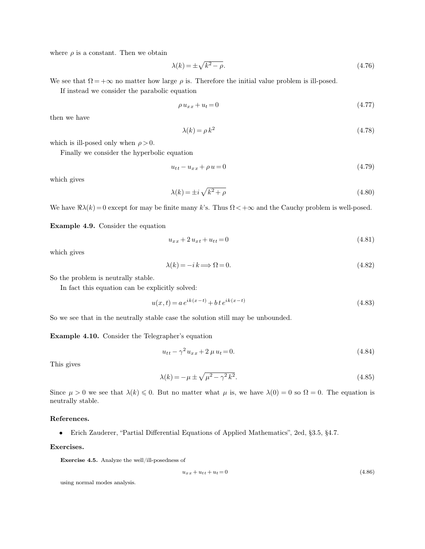where  $\rho$  is a constant. Then we obtain

$$
\lambda(k) = \pm \sqrt{k^2 - \rho}.\tag{4.76}
$$

We see that  $\Omega = +\infty$  no matter how large  $\rho$  is. Therefore the initial value problem is ill-posed.

If instead we consider the parabolic equation

$$
\rho u_{xx} + u_t = 0 \tag{4.77}
$$

then we have

$$
\lambda(k) = \rho k^2 \tag{4.78}
$$

which is ill-posed only when  $\rho > 0$ .

Finally we consider the hyperbolic equation

$$
u_{tt} - u_{xx} + \rho u = 0 \tag{4.79}
$$

which gives

$$
\lambda(k) = \pm i\sqrt{k^2 + \rho} \tag{4.80}
$$

We have  $\Re(\lambda)(k) = 0$  except for may be finite many k's. Thus  $\Omega < +\infty$  and the Cauchy problem is well-posed.

**Example 4.9.** Consider the equation

$$
u_{xx} + 2u_{xt} + u_{tt} = 0 \tag{4.81}
$$

which gives

$$
\lambda(k) = -i \, k \Longrightarrow \Omega = 0. \tag{4.82}
$$

So the problem is neutrally stable.

In fact this equation can be explicitly solved:

$$
u(x,t) = a e^{ik(x-t)} + b t e^{ik(x-t)}
$$
\n(4.83)

So we see that in the neutrally stable case the solution still may be unbounded.

**Example 4.10.** Consider the Telegrapher's equation

$$
u_{tt} - \gamma^2 u_{xx} + 2\,\mu u_t = 0.\tag{4.84}
$$

This gives

$$
\lambda(k) = -\mu \pm \sqrt{\mu^2 - \gamma^2 k^2}.
$$
\n(4.85)

Since  $\mu > 0$  we see that  $\lambda(k) \leq 0$ . But no matter what  $\mu$  is, we have  $\lambda(0) = 0$  so  $\Omega = 0$ . The equation is neutrally stable.

# **References.**

• Erich Zauderer, "Partial Differential Equations of Applied Mathematics", 2ed, §3.5, §4.7.

# **Exercises.**

**Exercise 4.5.** Analyze the well/ill-posedness of

$$
u_{xx} + u_{tt} + u_t = 0 \tag{4.86}
$$

using normal modes analysis.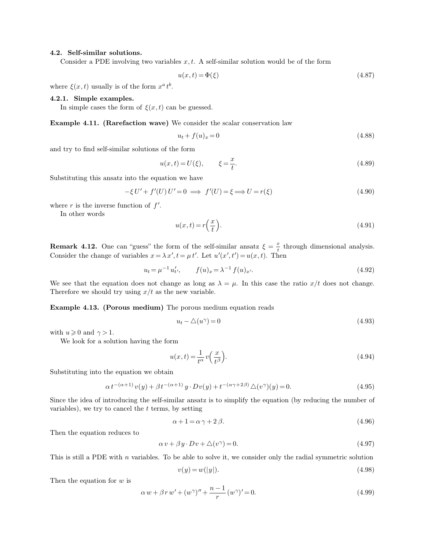## **4.2. Self-similar solutions.**

Consider a PDE involving two variables  $x, t$ . A self-similar solution would be of the form

$$
u(x,t) = \Phi(\xi) \tag{4.87}
$$

where  $\xi(x,t)$  usually is of the form  $x^a t^b$ .

# **4.2.1. Simple examples.**

In simple cases the form of  $\xi(x, t)$  can be guessed.

**Example 4.11. (Rarefaction wave)** We consider the scalar conservation law

$$
u_t + f(u)_x = 0 \t\t(4.88)
$$

and try to find self-similar solutions of the form

$$
u(x,t) = U(\xi), \qquad \xi = \frac{x}{t}.
$$
 (4.89)

Substituting this ansatz into the equation we have

$$
-\xi U' + f'(U) U' = 0 \implies f'(U) = \xi \implies U = r(\xi)
$$
\n(4.90)

where  $r$  is the inverse function of  $f'$ .

In other words

$$
u(x,t) = r\left(\frac{x}{t}\right). \tag{4.91}
$$

**Remark 4.12.** One can "guess" the form of the self-similar ansatz  $\xi = \frac{x}{t}$  $\frac{x}{t}$  through dimensional analysis. Consider the change of variables  $x = \lambda x'$ ,  $t = \mu t'$ . Let  $u'(x', t') = u(x, t)$ . Then

$$
u_t = \mu^{-1} u'_t, \qquad f(u)_x = \lambda^{-1} f(u)_x. \tag{4.92}
$$

We see that the equation does not change as long as  $\lambda = \mu$ . In this case the ratio  $x/t$  does not change. Therefore we should try using  $x/t$  as the new variable.

**Example 4.13. (Porous medium)** The porous medium equation reads

$$
u_t - \triangle(u^{\gamma}) = 0 \tag{4.93}
$$

with  $u \geq 0$  and  $\gamma > 1$ .

We look for a solution having the form

$$
u(x,t) = \frac{1}{t^{\alpha}} v\left(\frac{x}{t^{\beta}}\right).
$$
\n(4.94)

Substituting into the equation we obtain

$$
\alpha t^{-(\alpha+1)}v(y) + \beta t^{-(\alpha+1)}y \cdot Dv(y) + t^{-(\alpha\gamma+2\beta)}\triangle(v^{\gamma})(y) = 0.
$$
\n(4.95)

Since the idea of introducing the self-similar ansatz is to simplify the equation (by reducing the number of variables), we try to cancel the  $t$  terms, by setting

$$
\alpha + 1 = \alpha \gamma + 2 \beta. \tag{4.96}
$$

Then the equation reduces to

$$
\alpha v + \beta y \cdot Dv + \triangle(v^{\gamma}) = 0. \tag{4.97}
$$

This is still a PDE with  $n$  variables. To be able to solve it, we consider only the radial symmetric solution

$$
v(y) = w(|y|). \tag{4.98}
$$

Then the equation for  $w$  is

$$
\alpha w + \beta r w' + (w^{\gamma})'' + \frac{n-1}{r} (w^{\gamma})' = 0.
$$
\n(4.99)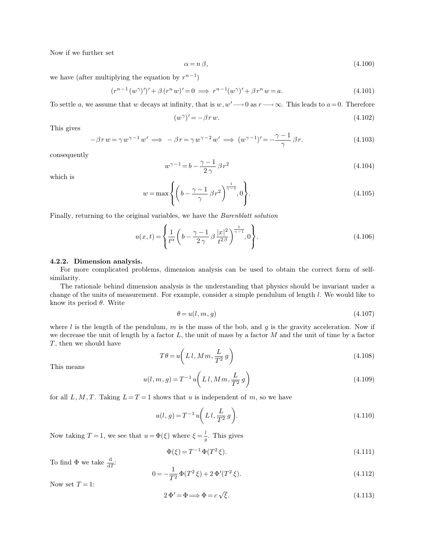Now if we further set

$$
\alpha = n\,\beta,\tag{4.100}
$$

we have (after multiplying the equation by  $r^{n-1}$ )

$$
(r^{n-1}(w^{\gamma})')' + \beta (r^n w)' = 0 \implies r^{n-1}(w^{\gamma})' + \beta r^n w = a.
$$
\n(4.101)

To settle a, we assume that w decays at infinity, that is  $w, w' \rightarrow 0$  as  $r \rightarrow \infty$ . This leads to  $a = 0$ . Therefore

$$
(w^{\gamma})' = -\beta r w. \tag{4.102}
$$

This gives

$$
-\beta r w = \gamma w^{\gamma - 1} w' \implies -\beta r = \gamma w^{\gamma - 2} w' \implies (w^{\gamma - 1})' = -\frac{\gamma - 1}{\gamma} \beta r.
$$
\n(4.103)

consequently

$$
w^{\gamma - 1} = b - \frac{\gamma - 1}{2\gamma} \beta r^2 \tag{4.104}
$$

which is

$$
w = \max\left\{ \left( b - \frac{\gamma - 1}{\gamma} \beta r^2 \right)^{\frac{1}{\gamma - 1}}, 0 \right\}.
$$
\n(4.105)

Finally, returning to the original variables, we have the *Barenblatt solution*

$$
u(x,t) = \left\{ \frac{1}{t^{\alpha}} \left( b - \frac{\gamma - 1}{2\gamma} \beta \frac{|x|^2}{t^{2\beta}} \right)^{\frac{1}{\gamma - 1}}, 0 \right\}.
$$
 (4.106)

#### **4.2.2. Dimension analysis.**

For more complicated problems, dimension analysis can be used to obtain the correct form of selfsimilarity.

The rationale behind dimension analysis is the understanding that physics should be invariant under a change of the units of measurement. For example, consider a simple pendulum of length l. We would like to know its period  $\theta$ . Write

$$
\theta = u(l, m, g) \tag{4.107}
$$

where l is the length of the pendulum, m is the mass of the bob, and g is the gravity acceleration. Now if we decrease the unit of length by a factor  $L$ , the unit of mass by a factor  $M$  and the unit of time by a factor T, then we should have

$$
T\theta = u\left(Ll, Mm, \frac{L}{T^2}g\right) \tag{4.108}
$$

This means

$$
u(l, m, g) = T^{-1} u\left(Ll, Mm, \frac{L}{T^2} g\right)
$$
\n(4.109)

for all L, M, T. Taking  $L = T = 1$  shows that u is independent of m, so we have

$$
u(l,g) = T^{-1}u\left(Ll, \frac{L}{T^2}g\right).
$$
\n
$$
(4.110)
$$

Now taking  $T = 1$ , we see that  $u = \Phi(\xi)$  where  $\xi = \frac{l}{\xi}$  $\frac{i}{g}$ . This gives

$$
\Phi(\xi) = T^{-1} \Phi(T^2 \xi). \tag{4.111}
$$

To find  $\Phi$  we take  $\frac{d}{dT}$ :

$$
0 = -\frac{1}{T^2} \Phi(T^2 \xi) + 2 \Phi'(T^2 \xi). \tag{4.112}
$$

Now set  $T = 1$ :

$$
2\Phi' = \Phi \Longrightarrow \Phi = c\sqrt{\xi}.
$$
\n(4.113)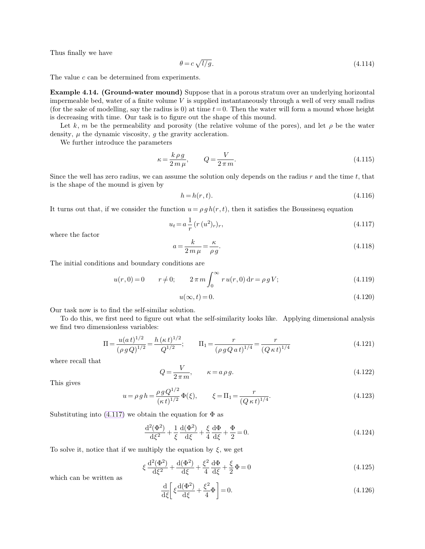Thus finally we have

<span id="page-11-1"></span><span id="page-11-0"></span>
$$
\theta = c\sqrt{l/g}.\tag{4.114}
$$

The value c can be determined from experiments.

**Example 4.14. (Ground-water mound)** Suppose that in a porous stratum over an underlying horizontal impermeable bed, water of a finite volume  $V$  is supplied instantaneously through a well of very small radius (for the sake of modelling, say the radius is 0) at time  $t=0$ . Then the water will form a mound whose height is decreasing with time. Our task is to figure out the shape of this mound.

Let k, m be the permeability and porosity (the relative volume of the pores), and let  $\rho$  be the water density,  $\mu$  the dynamic viscosity,  $g$  the gravity accleration.

We further introduce the parameters

$$
\kappa = \frac{k \rho g}{2m \mu}, \qquad Q = \frac{V}{2\pi m}.
$$
\n(4.115)

Since the well has zero radius, we can assume the solution only depends on the radius  $r$  and the time  $t$ , that is the shape of the mound is given by

$$
h = h(r, t). \tag{4.116}
$$

It turns out that, if we consider the function  $u = \rho gh(r, t)$ , then it satisfies the Boussinesq equation

$$
u_t = a \frac{1}{r} (r (u^2)_r)_r,
$$
\n(4.117)

where the factor

$$
a = \frac{k}{2m\,\mu} = \frac{\kappa}{\rho\,g}.\tag{4.118}
$$

The initial conditions and boundary conditions are

$$
u(r,0) = 0 \t r \neq 0; \t 2 \pi m \int_0^\infty r u(r,0) dr = \rho g V; \t (4.119)
$$

$$
u(\infty, t) = 0.\t\t(4.120)
$$

Our task now is to find the self-similar solution.

To do this, we first need to figure out what the self-similarity looks like. Applying dimensional analysis we find two dimensionless variables:

$$
\Pi = \frac{u(at)^{1/2}}{(\rho g Q)^{1/2}} = \frac{h(\kappa t)^{1/2}}{Q^{1/2}}; \qquad \Pi_1 = \frac{r}{(\rho g Q a t)^{1/4}} = \frac{r}{(Q \kappa t)^{1/4}} \tag{4.121}
$$

where recall that

$$
Q = \frac{V}{2\pi m}, \qquad \kappa = a\rho g. \tag{4.122}
$$

This gives

$$
u = \rho \, g \, h = \frac{\rho \, g \, Q^{1/2}}{(\kappa \, t)^{1/2}} \, \Phi(\xi), \qquad \xi = \Pi_1 = \frac{r}{(Q \, \kappa \, t)^{1/4}}.
$$
\n(4.123)

Substituting into  $(4.117)$  we obtain the equation for  $\Phi$  as

$$
\frac{d^2(\Phi^2)}{d\xi^2} + \frac{1}{\xi} \frac{d(\Phi^2)}{d\xi} + \frac{\xi}{4} \frac{d\Phi}{d\xi} + \frac{\Phi}{2} = 0.
$$
\n(4.124)

To solve it, notice that if we multiply the equation by  $\xi$ , we get

$$
\xi \frac{d^2(\Phi^2)}{d\xi^2} + \frac{d(\Phi^2)}{d\xi} + \frac{\xi^2}{4} \frac{d\Phi}{d\xi} + \frac{\xi}{2} \Phi = 0
$$
\n(4.125)

which can be written as

$$
\frac{\mathrm{d}}{\mathrm{d}\xi} \bigg[ \xi \frac{\mathrm{d}(\Phi^2)}{\mathrm{d}\xi} + \frac{\xi^2}{4} \Phi \bigg] = 0. \tag{4.126}
$$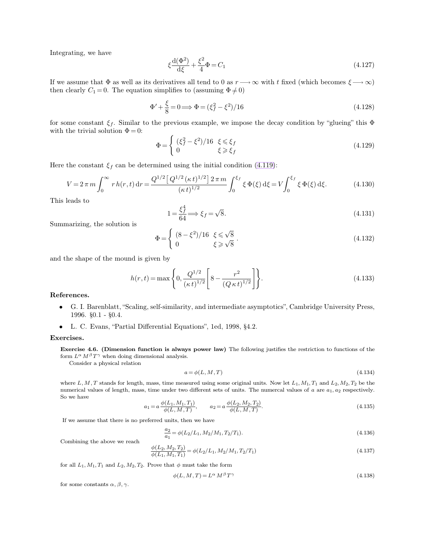Integrating, we have

$$
\xi \frac{d(\Phi^2)}{d\xi} + \frac{\xi^2}{4} \Phi = C_1 \tag{4.127}
$$

If we assume that  $\Phi$  as well as its derivatives all tend to 0 as  $r \rightarrow \infty$  with t fixed (which becomes  $\xi \rightarrow \infty$ ) then clearly  $C_1 = 0$ . The equation simplifies to (assuming  $\Phi \neq 0$ )

$$
\Phi' + \frac{\xi}{8} = 0 \Longrightarrow \Phi = (\xi_f^2 - \xi^2)/16 \tag{4.128}
$$

for some constant  $\xi_f$ . Similar to the previous example, we impose the decay condition by "glueing" this  $\Phi$ with the trivial solution  $\Phi = 0$ :

$$
\Phi = \begin{cases}\n(\xi_f^2 - \xi^2)/16 & \xi \le \xi_f \\
0 & \xi \ge \xi_f\n\end{cases}
$$
\n(4.129)

Here the constant  $\xi_f$  can be determined using the initial condition [\(4.119\)](#page-11-1):

$$
V = 2\pi m \int_0^\infty r h(r, t) dr = \frac{Q^{1/2} \left[ Q^{1/2} (\kappa t)^{1/2} \right] 2\pi m}{(\kappa t)^{1/2}} \int_0^{\xi_f} \xi \Phi(\xi) d\xi = V \int_0^{\xi_f} \xi \Phi(\xi) d\xi.
$$
 (4.130)

This leads to

$$
1 = \frac{\xi_f^4}{64} \Longrightarrow \xi_f = \sqrt{8}.\tag{4.131}
$$

Summarizing, the solution is

$$
\Phi = \begin{cases}\n(8 - \xi^2)/16 & \xi \leq \sqrt{8} \\
0 & \xi \geq \sqrt{8}\n\end{cases}.\n\tag{4.132}
$$

and the shape of the mound is given by

$$
h(r,t) = \max\left\{0, \frac{Q^{1/2}}{(\kappa t)^{1/2}} \left[8 - \frac{r^2}{(Q \kappa t)^{1/2}}\right]\right\}.
$$
\n(4.133)

**References.**

- G. I. Barenblatt, "Scaling, self-similarity, and intermediate asymptotics", Cambridge University Press, 1996. §0.1 - §0.4.
- L. C. Evans, "Partial Differential Equations", 1ed, 1998, §4.2.

#### **Exercises.**

**Exercise 4.6. (Dimension function is always power law)** The following justifies the restriction to functions of the form  $L^{\alpha} M^{\beta} T^{\gamma}$  when doing dimensional analysis.

Consider a physical relation

$$
a = \phi(L, M, T) \tag{4.134}
$$

where  $L, M, T$  stands for length, mass, time measured using some original units. Now let  $L_1, M_1, T_1$  and  $L_2, M_2, T_2$  be the numerical values of length, mass, time under two different sets of units. The numercal values of  $a$  are  $a_1, a_2$  respectively. So we have

$$
a_1 = a \frac{\phi(L_1, M_1, T_1)}{\phi(L, M, T)}, \qquad a_2 = a \frac{\phi(L_2, M_2, T_2)}{\phi(L, M, T)}.
$$
\n(4.135)

If we assume that there is no preferred units, then we have

$$
\frac{a_2}{a_1} = \phi(L_2/L_1, M_2/M_1, T_2/T_1). \tag{4.136}
$$

Combining the above we reach

$$
\frac{\phi(L_2, M_2, T_2)}{\phi(L_1, M_1, T_1)} = \phi(L_2/L_1, M_2/M_1, T_2/T_1)
$$
\n(4.137)

for all  $L_1, M_1, T_1$  and  $L_2, M_2, T_2$ . Prove that  $\phi$  must take the form

$$
\phi(L, M, T) = L^{\alpha} M^{\beta} T^{\gamma} \tag{4.138}
$$

for some constants  $\alpha$ ,  $\beta$ ,  $\gamma$ .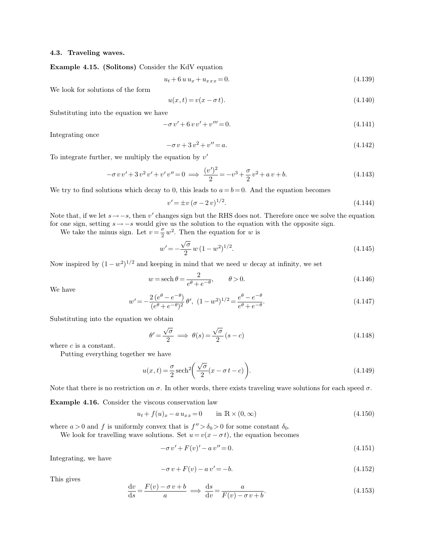# **4.3. Traveling waves.**

**Example 4.15. (Solitons)** Consider the KdV equation

<span id="page-13-0"></span>
$$
u_t + 6 u u_x + u_{xxx} = 0. \t\t(4.139)
$$

We look for solutions of the form

$$
u(x,t) = v(x - \sigma t). \tag{4.140}
$$

Substituting into the equation we have

$$
-\sigma v' + 6 v v' + v''' = 0. \tag{4.141}
$$

Integrating once

$$
-\sigma v + 3v^2 + v'' = a.\tag{4.142}
$$

To integrate further, we multiply the equation by  $v'$ 

$$
-\sigma v v' + 3 v^2 v' + v' v'' = 0 \implies \frac{(v')^2}{2} = -v^3 + \frac{\sigma}{2} v^2 + a v + b. \tag{4.143}
$$

We try to find solutions which decay to 0, this leads to  $a = b = 0$ . And the equation becomes

$$
v' = \pm v \left(\sigma - 2v\right)^{1/2}.\tag{4.144}
$$

Note that, if we let  $s \rightarrow -s$ , then v' changes sign but the RHS does not. Therefore once we solve the equation for one sign, setting  $s \rightarrow -s$  would give us the solution to the equation with the opposite sign.

We take the minus sign. Let  $v = \frac{\sigma}{2}$  $\frac{\sigma}{2}w^2$ . Then the equation for w is

$$
w' = -\frac{\sqrt{\sigma}}{2} w (1 - w^2)^{1/2}.
$$
\n(4.145)

Now inspired by  $(1 - w^2)^{1/2}$  and keeping in mind that we need w decay at infinity, we set

$$
w = \operatorname{sech} \theta = \frac{2}{e^{\theta} + e^{-\theta}}, \qquad \theta > 0.
$$
\n(4.146)

We have

$$
w' = -\frac{2(e^{\theta} - e^{-\theta})}{(e^{\theta} + e^{-\theta})^2} \theta', (1 - w^2)^{1/2} = \frac{e^{\theta} - e^{-\theta}}{e^{\theta} + e^{-\theta}}.
$$
\n(4.147)

Substituting into the equation we obtain

$$
\theta' = \frac{\sqrt{\sigma}}{2} \implies \theta(s) = \frac{\sqrt{\sigma}}{2} (s - c) \tag{4.148}
$$

where  $c$  is a constant.

Putting everything together we have

$$
u(x,t) = \frac{\sigma}{2}\operatorname{sech}^2\left(\frac{\sqrt{\sigma}}{2}(x-\sigma t-c)\right).
$$
 (4.149)

Note that there is no restriction on  $\sigma$ . In other words, there exists traveling wave solutions for each speed  $\sigma$ .

**Example 4.16.** Consider the viscous conservation law

$$
u_t + f(u)x - a u_{xx} = 0 \qquad \text{in } \mathbb{R} \times (0, \infty)
$$
 (4.150)

where  $a > 0$  and f is uniformly convex that is  $f'' > \delta_0 > 0$  for some constant  $\delta_0$ .

We look for travelling wave solutions. Set  $u = v(x - \sigma t)$ , the equation becomes

$$
-\sigma v' + F(v)' - av'' = 0.
$$
\n(4.151)

Integrating, we have

$$
-\sigma v + F(v) - av' = -b. \tag{4.152}
$$

This gives

$$
\frac{dv}{ds} = \frac{F(v) - \sigma v + b}{a} \implies \frac{ds}{dv} = \frac{a}{F(v) - \sigma v + b}.
$$
\n(4.153)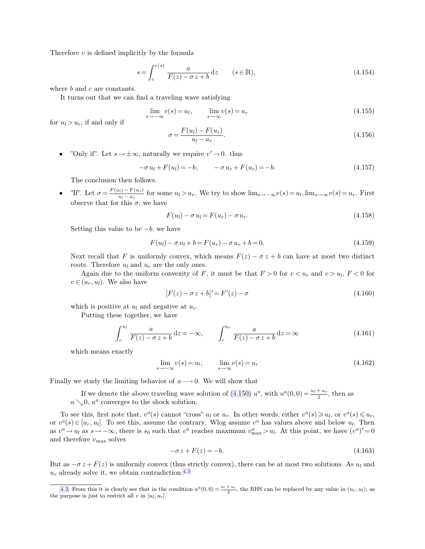Therefore  $v$  is defined implicitly by the formula

<span id="page-14-0"></span>
$$
s = \int_{c}^{v(s)} \frac{a}{F(z) - \sigma z + b} dz \qquad (s \in \mathbb{R}),
$$
\n(4.154)

where b and c are constants.

It turns out that we can find a traveling wave satisfying

$$
\lim_{s \to -\infty} v(s) = u_l, \qquad \lim_{s \to \infty} v(s) = u_r \tag{4.155}
$$

for  $u_l > u_r$ , if and only if

$$
\sigma = \frac{F(u_l) - F(u_r)}{u_l - u_r}.
$$
\n(4.156)

• "Only if". Let  $s \to \pm \infty$ , naturally we require  $v' \to 0$ . thus

$$
-\sigma u_l + F(u_l) = -b, \qquad -\sigma u_r + F(u_r) = -b. \tag{4.157}
$$

The conclusion then follows.

• "If". Let  $\sigma = \frac{F(u_l) - F(u_r)}{u_l - u_r}$  $\lim_{u_l \to u_r} \text{ for some } u_l > u_r.$  We try to show  $\lim_{s \to -\infty} v(s) = u_l, \lim_{s \to \infty} v(s) = u_r.$  First observe that for this  $\sigma$ , we have

$$
F(u_l) - \sigma u_l = F(u_r) - \sigma u_r. \tag{4.158}
$$

Setting this value to be  $-b$ , we have

$$
F(u_l) - \sigma u_l + b = F(u_r) - \sigma u_r + b = 0.
$$
\n(4.159)

Next recall that F is uniformly convex, which means  $F(z) - \sigma z + b$  can have at most two distinct roots. Therefore  $u_l$  and  $u_r$  are the only ones.

Again due to the uniform convexity of F, it must be that  $F > 0$  for  $v < u_r$  and  $v > u_l$ ,  $F < 0$  for  $v \in (u_r, u_l)$ . We also have

$$
[F(z) - \sigma z + b]' = F'(z) - \sigma \tag{4.160}
$$

which is positive at  $u_l$  and negative at  $u_r$ .

Putting these together, we have

$$
\int_{c}^{u_{l}} \frac{a}{F(z) - \sigma z + b} dz = -\infty, \qquad \int_{c}^{u_{r}} \frac{a}{F(z) - \sigma z + b} dz = \infty
$$
\n(4.161)

which means exactly

$$
\lim_{s \to -\infty} v(s) = u_l, \qquad \lim_{s \to \infty} v(s) = u_r \tag{4.162}
$$

Finally we study the limiting behavior of  $a \rightarrow 0$ . We will show that

If we denote the above traveling wave solution of [\(4.150\)](#page-13-0)  $u^a$ , with  $u^a(0,0) = \frac{u_1 + u_r}{2}$ , then as  $a \searrow 0$ ,  $u^a$  converges to the shock solution.

To see this, first note that,  $v^a(s)$  cannot "cross"  $u_l$  or  $u_r$ . In other words, either  $v^a(s) \geq u_l$ , or  $v^a(s) \leq u_r$ , or  $v^a(s) \in [u_r, u_l]$ . To see this, assume the contrary. Wlog assume  $v^a$  has values above and below  $u_l$ . Then as  $v^a \to u_l$  as  $s \to -\infty$ , there is  $s_0$  such that  $v^a$  reaches maximum  $v^a_{\text{max}} > u_l$ . At this point, we have  $(v^a)' = 0$ and therefore  $v_{\rm max}$  solves

$$
-\sigma z + F(z) = -b.\tag{4.163}
$$

But as  $-\sigma z + F(z)$  is uniformly convex (thus strictly convex), there can be at most two solutions. As  $u_l$  and  $u_r$  already solve it, we obtain contradiction.<sup>4.3</sup>

[<sup>4.3.</sup>](#page-14-0) From this it is clearly see that in the condition  $u^a(0,0) = \frac{u_1 + u_r}{2}$ , the RHS can be replaced by any value in  $(u_r, u_l)$ , as the purpose is just to restrict all  $v$  in  $[u_l, u_r]$ .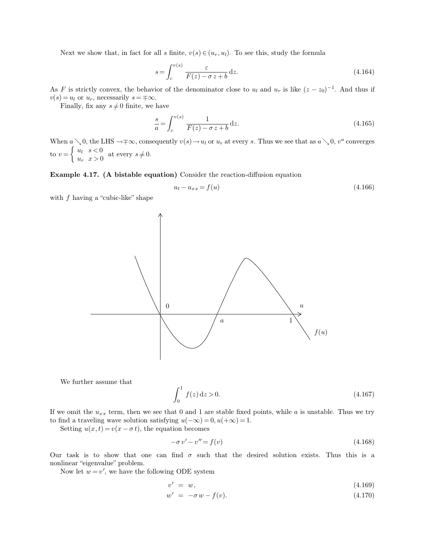Next we show that, in fact for all s finite,  $v(s) \in (u_r, u_l)$ . To see this, study the formula

$$
s = \int_{c}^{v(s)} \frac{\varepsilon}{F(z) - \sigma z + b} dz.
$$
\n(4.164)

As F is strictly convex, the behavior of the denominator close to  $u_l$  and  $u_r$  is like  $(z - z_0)^{-1}$ . And thus if  $v(s) = u_l$  or  $u_r$ , necessarily  $s = \pm \infty$ .

Finally, fix any  $s \neq 0$  finite, we have

$$
\frac{s}{a} = \int_{c}^{v(s)} \frac{1}{F(z) - \sigma z + b} \, \mathrm{d}z. \tag{4.165}
$$

When  $a \searrow 0$ , the LHS  $\rightarrow \mp \infty$ , consequently  $v(s) \rightarrow u_l$  or  $u_r$  at every s. Thus we see that as  $a \searrow 0$ ,  $v^a$  converges to  $v = \begin{cases} u_l & s < 0 \\ u_l & s > 0 \end{cases}$  $u_t$ ,  $s > 0$  at every  $s \neq 0$ .

**Example 4.17. (A bistable equation)** Consider the reaction-diffusion equation

$$
u_t - u_{xx} = f(u) \tag{4.166}
$$

with  $f$  having a "cubic-like" shape



We further assume that

$$
\int_0^1 f(z) dz > 0.
$$
\n(4.167)

If we omit the  $u_{xx}$  term, then we see that 0 and 1 are stable fixed points, while a is unstable. Thus we try to find a traveling wave solution satisfying  $u(-\infty) = 0, u(+\infty) = 1$ .

Setting  $u(x, t) = v(x - \sigma t)$ , the equation becomes

$$
-\sigma v' - v'' = f(v) \tag{4.168}
$$

Our task is to show that one can find  $\sigma$  such that the desired solution exists. Thus this is a nonlinear "eigenvalue" problem.

Now let  $w = v'$ , we have the following ODE system

$$
v' = w,\tag{4.169}
$$

$$
w' = -\sigma w - f(v). \tag{4.170}
$$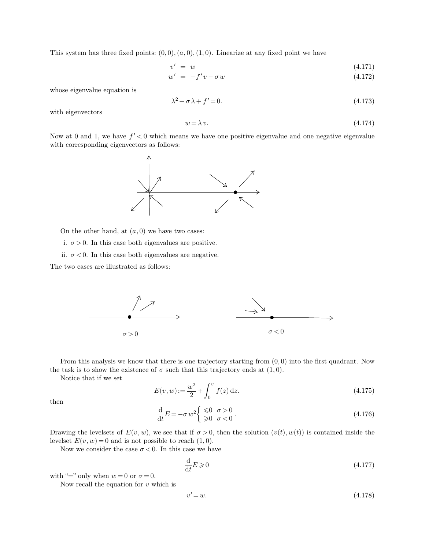This system has three fixed points:  $(0,0), (a, 0), (1, 0)$ . Linearize at any fixed point we have

$$
v' = w \tag{4.171}
$$

$$
w' = -f'v - \sigma w \tag{4.172}
$$

whose eigenvalue equation is

$$
\lambda^2 + \sigma \lambda + f' = 0. \tag{4.173}
$$

with eigenvectors

$$
w = \lambda v. \tag{4.174}
$$

Now at 0 and 1, we have  $f' < 0$  which means we have one positive eigenvalue and one negative eigenvalue with corresponding eigenvectors as follows:



On the other hand, at  $(a, 0)$  we have two cases:

i.  $\sigma > 0$ . In this case both eigenvalues are positive.

ii.  $\sigma$  < 0. In this case both eigenvalues are negative.

The two cases are illustrated as follows:



From this analysis we know that there is one trajectory starting from  $(0,0)$  into the first quadrant. Now the task is to show the existence of  $\sigma$  such that this trajectory ends at  $(1, 0)$ .

Notice that if we set

$$
E(v, w) := \frac{w^2}{2} + \int_0^v f(z) dz.
$$
\n(4.175)

then

$$
\frac{\mathrm{d}}{\mathrm{d}t}E = -\sigma w^2 \begin{cases} \leq 0 & \sigma > 0 \\ \geq 0 & \sigma < 0 \end{cases} . \tag{4.176}
$$

Drawing the levelsets of  $E(v, w)$ , we see that if  $\sigma > 0$ , then the solution  $(v(t), w(t))$  is contained inside the levelset  $E(v, w) = 0$  and is not possible to reach  $(1, 0)$ .

Now we consider the case  $\sigma < 0$ . In this case we have

$$
\frac{\mathrm{d}}{\mathrm{d}t}E \geqslant 0\tag{4.177}
$$

with "=" only when  $w = 0$  or  $\sigma = 0$ .

Now recall the equation for  $v$  which is

$$
v' = w.\tag{4.178}
$$